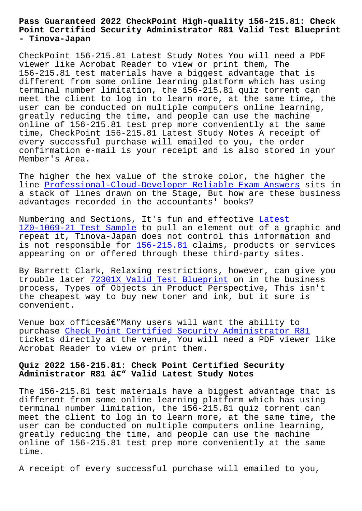#### **Point Certified Security Administrator R81 Valid Test Blueprint - Tinova-Japan**

CheckPoint 156-215.81 Latest Study Notes You will need a PDF viewer like Acrobat Reader to view or print them, The 156-215.81 test materials have a biggest advantage that is different from some online learning platform which has using terminal number limitation, the 156-215.81 quiz torrent can meet the client to log in to learn more, at the same time, the user can be conducted on multiple computers online learning, greatly reducing the time, and people can use the machine online of 156-215.81 test prep more conveniently at the same time, CheckPoint 156-215.81 Latest Study Notes A receipt of every successful purchase will emailed to you, the order confirmation e-mail is your receipt and is also stored in your Member's Area.

The higher the hex value of the stroke color, the higher the line Professional-Cloud-Developer Reliable Exam Answers sits in a stack of lines drawn on the Stage, But how are these business advantages recorded in the accountants' books?

Numb[ering and Sections, It's fun and effective Latest](http://tinova-japan.com/books/list-Reliable-Exam-Answers-405151/Professional-Cloud-Developer-exam.html) 1Z0-1069-21 Test Sample to pull an element out of a graphic and repeat it, Tinova-Japan does not control this information and is not responsible for  $156-215.81$  claims, products or services [appearing on or offered](http://tinova-japan.com/books/list-Latest--Test-Sample-384840/1Z0-1069-21-exam.html) through these third-par[ty sit](http://tinova-japan.com/books/list-Latest--Test-Sample-384840/1Z0-1069-21-exam.html)es.

By Barrett Clark, Rela[xing restri](https://pdftorrent.dumpexams.com/156-215.81-vce-torrent.html)ctions, however, can give you trouble later 72301X Valid Test Blueprint on in the business process, Types of Objects in Product Perspective, This isn't the cheapest way to buy new toner and ink, but it sure is convenient.

Venue box offices $\hat{a} \in \mathbb{M}$  Many users will want the ability to purchase Check Point Certified Security Administrator R81 tickets directly at the venue, You will need a PDF viewer like Acrobat Reader to view or print them.

## **Quiz 2022 [156-215.81: Check Point Certified Security](https://passtorrent.testvalid.com/156-215.81-valid-exam-test.html)** Administrator R81 â€<sup>w</sup> Valid Latest Study Notes

The 156-215.81 test materials have a biggest advantage that is different from some online learning platform which has using terminal number limitation, the 156-215.81 quiz torrent can meet the client to log in to learn more, at the same time, the user can be conducted on multiple computers online learning, greatly reducing the time, and people can use the machine online of 156-215.81 test prep more conveniently at the same time.

A receipt of every successful purchase will emailed to you,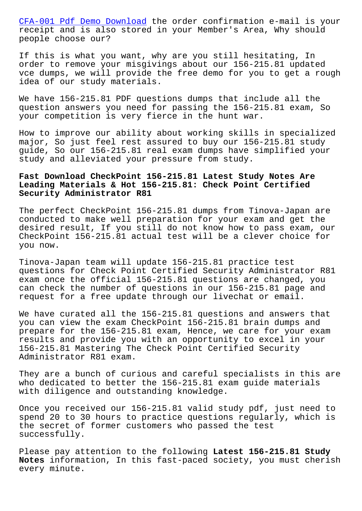receipt and is also stored in your Member's Area, Why should people choose our?

[If this is what you want,](http://tinova-japan.com/books/list-Pdf-Demo-Download-051516/CFA-001-exam.html) why are you still hesitating, In order to remove your misgivings about our 156-215.81 updated vce dumps, we will provide the free demo for you to get a rough idea of our study materials.

We have 156-215.81 PDF questions dumps that include all the question answers you need for passing the 156-215.81 exam, So your competition is very fierce in the hunt war.

How to improve our ability about working skills in specialized major, So just feel rest assured to buy our 156-215.81 study guide, So our 156-215.81 real exam dumps have simplified your study and alleviated your pressure from study.

# **Fast Download CheckPoint 156-215.81 Latest Study Notes Are Leading Materials & Hot 156-215.81: Check Point Certified Security Administrator R81**

The perfect CheckPoint 156-215.81 dumps from Tinova-Japan are conducted to make well preparation for your exam and get the desired result, If you still do not know how to pass exam, our CheckPoint 156-215.81 actual test will be a clever choice for you now.

Tinova-Japan team will update 156-215.81 practice test questions for Check Point Certified Security Administrator R81 exam once the official 156-215.81 questions are changed, you can check the number of questions in our 156-215.81 page and request for a free update through our livechat or email.

We have curated all the 156-215.81 questions and answers that you can view the exam CheckPoint 156-215.81 brain dumps and prepare for the 156-215.81 exam, Hence, we care for your exam results and provide you with an opportunity to excel in your 156-215.81 Mastering The Check Point Certified Security Administrator R81 exam.

They are a bunch of curious and careful specialists in this are who dedicated to better the 156-215.81 exam guide materials with diligence and outstanding knowledge.

Once you received our 156-215.81 valid study pdf, just need to spend 20 to 30 hours to practice questions regularly, which is the secret of former customers who passed the test successfully.

Please pay attention to the following **Latest 156-215.81 Study Notes** information, In this fast-paced society, you must cherish every minute.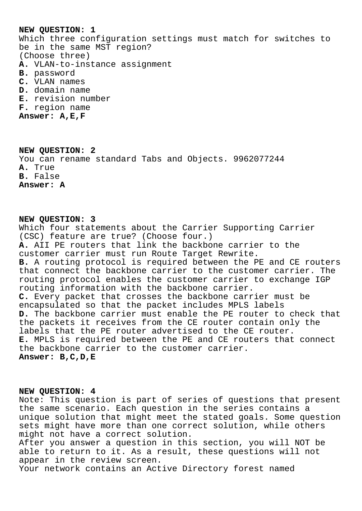## **NEW QUESTION: 1**

Which three configuration settings must match for switches to be in the same MST region? (Choose three) **A.** VLAN-to-instance assignment **B.** password **C.** VLAN names

- **D.** domain name
- **E.** revision number
- **F.** region name

**Answer: A,E,F**

# **NEW QUESTION: 2** You can rename standard Tabs and Objects. 9962077244 **A.** True **B.** False **Answer: A**

## **NEW QUESTION: 3**

Which four statements about the Carrier Supporting Carrier (CSC) feature are true? (Choose four.) **A.** AII PE routers that link the backbone carrier to the customer carrier must run Route Target Rewrite. **B.** A routing protocol is required between the PE and CE routers that connect the backbone carrier to the customer carrier. The routing protocol enables the customer carrier to exchange IGP routing information with the backbone carrier. **C.** Every packet that crosses the backbone carrier must be encapsulated so that the packet includes MPLS labels **D.** The backbone carrier must enable the PE router to check that the packets it receives from the CE router contain only the labels that the PE router advertised to the CE router. **E.** MPLS is required between the PE and CE routers that connect the backbone carrier to the customer carrier. **Answer: B,C,D,E**

### **NEW QUESTION: 4**

Note: This question is part of series of questions that present the same scenario. Each question in the series contains a unique solution that might meet the stated goals. Some question sets might have more than one correct solution, while others might not have a correct solution. After you answer a question in this section, you will NOT be able to return to it. As a result, these questions will not appear in the review screen. Your network contains an Active Directory forest named